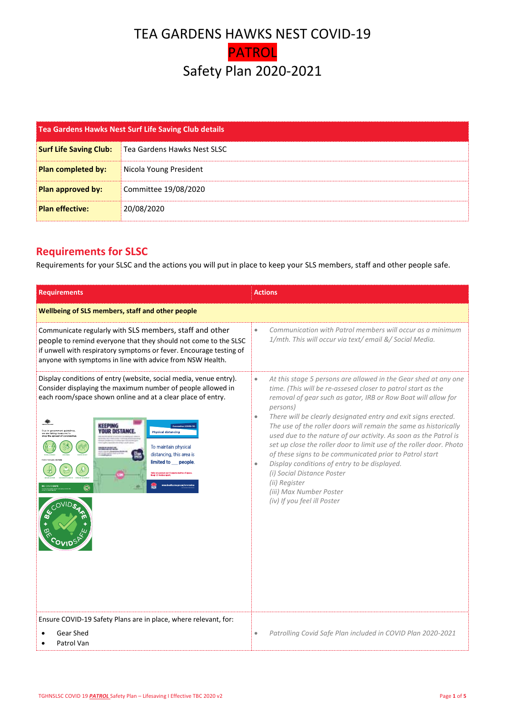## TEA GARDENS HAWKS NEST COVID-19 PATROL Safety Plan 2020-2021

| Tea Gardens Hawks Nest Surf Life Saving Club details |                             |
|------------------------------------------------------|-----------------------------|
| <b>Surf Life Saving Club:</b>                        | Tea Gardens Hawks Nest SLSC |
| <b>Plan completed by:</b>                            | Nicola Young President      |
| Plan approved by:                                    | Committee 19/08/2020        |
| <b>Plan effective:</b>                               | 20/08/2020                  |

## **Requirements for SLSC**

Requirements for your SLSC and the actions you will put in place to keep your SLS members, staff and other people safe.

| <b>Requirements</b>                                                                                                                                                                                                                                                                                                                                                                                                                                                 | <b>Actions</b>                                                                                                                                                                                                                                                                                                                                                                                                                                                                                                                                                                                                                                                                                                                                           |  |  |  |
|---------------------------------------------------------------------------------------------------------------------------------------------------------------------------------------------------------------------------------------------------------------------------------------------------------------------------------------------------------------------------------------------------------------------------------------------------------------------|----------------------------------------------------------------------------------------------------------------------------------------------------------------------------------------------------------------------------------------------------------------------------------------------------------------------------------------------------------------------------------------------------------------------------------------------------------------------------------------------------------------------------------------------------------------------------------------------------------------------------------------------------------------------------------------------------------------------------------------------------------|--|--|--|
| Wellbeing of SLS members, staff and other people                                                                                                                                                                                                                                                                                                                                                                                                                    |                                                                                                                                                                                                                                                                                                                                                                                                                                                                                                                                                                                                                                                                                                                                                          |  |  |  |
| Communicate regularly with SLS members, staff and other<br>people to remind everyone that they should not come to the SLSC<br>if unwell with respiratory symptoms or fever. Encourage testing of<br>anyone with symptoms in line with advice from NSW Health.                                                                                                                                                                                                       | Communication with Patrol members will occur as a minimum<br>$\bullet$<br>1/mth. This will occur via text/ email &/ Social Media.                                                                                                                                                                                                                                                                                                                                                                                                                                                                                                                                                                                                                        |  |  |  |
| Display conditions of entry (website, social media, venue entry).<br>Consider displaying the maximum number of people allowed in<br>each room/space shown online and at a clear place of entry.<br>$\frac{1}{2}$<br>KEEPING<br>YOUR DISTANCE.<br>ue to government quidelines<br><b>Physical distancing</b><br>To maintain physical<br>distancing, this area is<br>limited to people.<br>.<br>Only one person per 4 square metres of space.<br>Keen 1.5 metres anart | At this stage 5 persons are allowed in the Gear shed at any one<br>$\bullet$<br>time. (This will be re-assesed closer to patrol start as the<br>removal of gear such as gator, IRB or Row Boat will allow for<br>persons)<br>There will be clearly designated entry and exit signs erected.<br>$\bullet$<br>The use of the roller doors will remain the same as historically<br>used due to the nature of our activity. As soon as the Patrol is<br>set up close the roller door to limit use of the roller door. Photo<br>of these signs to be communicated prior to Patrol start<br>Display conditions of entry to be displayed.<br>$\bullet$<br>(i) Social Distance Poster<br>(ii) Register<br>(iii) Max Number Poster<br>(iv) If you feel ill Poster |  |  |  |
| Ensure COVID-19 Safety Plans are in place, where relevant, for:<br>Gear Shed                                                                                                                                                                                                                                                                                                                                                                                        |                                                                                                                                                                                                                                                                                                                                                                                                                                                                                                                                                                                                                                                                                                                                                          |  |  |  |
| Patrol Van                                                                                                                                                                                                                                                                                                                                                                                                                                                          | Patrolling Covid Safe Plan included in COVID Plan 2020-2021<br>$\bullet$                                                                                                                                                                                                                                                                                                                                                                                                                                                                                                                                                                                                                                                                                 |  |  |  |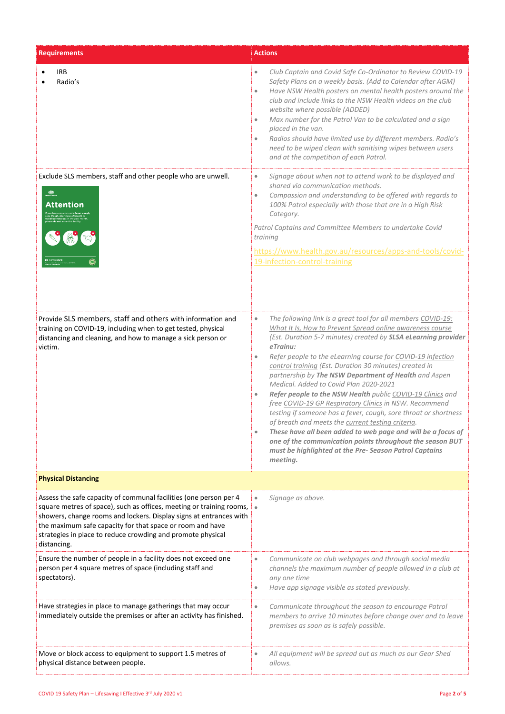| <b>Requirements</b>                                                                                                                                                                                                                                                                                                                                        | <b>Actions</b>                                                                                                                                                                                                                                                                                                                                                                                                                                                                                                                                                                                                                                                                                                                                                                                                                                                                                                |
|------------------------------------------------------------------------------------------------------------------------------------------------------------------------------------------------------------------------------------------------------------------------------------------------------------------------------------------------------------|---------------------------------------------------------------------------------------------------------------------------------------------------------------------------------------------------------------------------------------------------------------------------------------------------------------------------------------------------------------------------------------------------------------------------------------------------------------------------------------------------------------------------------------------------------------------------------------------------------------------------------------------------------------------------------------------------------------------------------------------------------------------------------------------------------------------------------------------------------------------------------------------------------------|
| <b>IRB</b><br>Radio's                                                                                                                                                                                                                                                                                                                                      | Club Captain and Covid Safe Co-Ordinator to Review COVID-19<br>$\bullet$<br>Safety Plans on a weekly basis. (Add to Calendar after AGM)<br>Have NSW Health posters on mental health posters around the<br>$\bullet$<br>club and include links to the NSW Health videos on the club<br>website where possible (ADDED)<br>Max number for the Patrol Van to be calculated and a sign<br>$\qquad \qquad \bullet$<br>placed in the van.<br>Radios should have limited use by different members. Radio's<br>$\qquad \qquad \bullet$<br>need to be wiped clean with sanitising wipes between users<br>and at the competition of each Patrol.                                                                                                                                                                                                                                                                         |
| Exclude SLS members, staff and other people who are unwell.<br>$\frac{d\mathbf{y}}{d\mathbf{y}}$<br><b>Attention</b><br><b>BE COVIDSAFE</b>                                                                                                                                                                                                                | Signage about when not to attend work to be displayed and<br>$\qquad \qquad \bullet$<br>shared via communication methods.<br>Compassion and understanding to be offered with regards to<br>$\bullet$<br>100% Patrol especially with those that are in a High Risk<br>Category.<br>Patrol Captains and Committee Members to undertake Covid<br>training<br>https://www.health.gov.au/resources/apps-and-tools/covid-<br>19-infection-control-training                                                                                                                                                                                                                                                                                                                                                                                                                                                          |
| Provide SLS members, staff and others with information and<br>training on COVID-19, including when to get tested, physical<br>distancing and cleaning, and how to manage a sick person or<br>victim.                                                                                                                                                       | The following link is a great tool for all members COVID-19:<br>۰<br>What It Is, How to Prevent Spread online awareness course<br>(Est. Duration 5-7 minutes) created by SLSA eLearning provider<br>$e$ Trainu:<br>Refer people to the eLearning course for COVID-19 infection<br>۰<br>control training (Est. Duration 30 minutes) created in<br>partnership by The NSW Department of Health and Aspen<br>Medical. Added to Covid Plan 2020-2021<br>Refer people to the NSW Health public COVID-19 Clinics and<br>۰<br>free COVID-19 GP Respiratory Clinics in NSW. Recommend<br>testing if someone has a fever, cough, sore throat or shortness<br>of breath and meets the current testing criteria.<br>These have all been added to web page and will be a focus of<br>۰<br>one of the communication points throughout the season BUT<br>must be highlighted at the Pre- Season Patrol Captains<br>meeting. |
| <b>Physical Distancing</b>                                                                                                                                                                                                                                                                                                                                 |                                                                                                                                                                                                                                                                                                                                                                                                                                                                                                                                                                                                                                                                                                                                                                                                                                                                                                               |
| Assess the safe capacity of communal facilities (one person per 4<br>square metres of space), such as offices, meeting or training rooms,<br>showers, change rooms and lockers. Display signs at entrances with<br>the maximum safe capacity for that space or room and have<br>strategies in place to reduce crowding and promote physical<br>distancing. | Signage as above.<br>$\qquad \qquad \bullet$<br>$\bullet$                                                                                                                                                                                                                                                                                                                                                                                                                                                                                                                                                                                                                                                                                                                                                                                                                                                     |
| Ensure the number of people in a facility does not exceed one<br>person per 4 square metres of space (including staff and<br>spectators).                                                                                                                                                                                                                  | Communicate on club webpages and through social media<br>$\bullet$<br>channels the maximum number of people allowed in a club at<br>any one time<br>Have app signage visible as stated previously.<br>۰                                                                                                                                                                                                                                                                                                                                                                                                                                                                                                                                                                                                                                                                                                       |
| Have strategies in place to manage gatherings that may occur<br>immediately outside the premises or after an activity has finished.                                                                                                                                                                                                                        | Communicate throughout the season to encourage Patrol<br>۰<br>members to arrive 10 minutes before change over and to leave<br>premises as soon as is safely possible.                                                                                                                                                                                                                                                                                                                                                                                                                                                                                                                                                                                                                                                                                                                                         |
| Move or block access to equipment to support 1.5 metres of<br>physical distance between people.                                                                                                                                                                                                                                                            | All equipment will be spread out as much as our Gear Shed<br>۰<br>allows.                                                                                                                                                                                                                                                                                                                                                                                                                                                                                                                                                                                                                                                                                                                                                                                                                                     |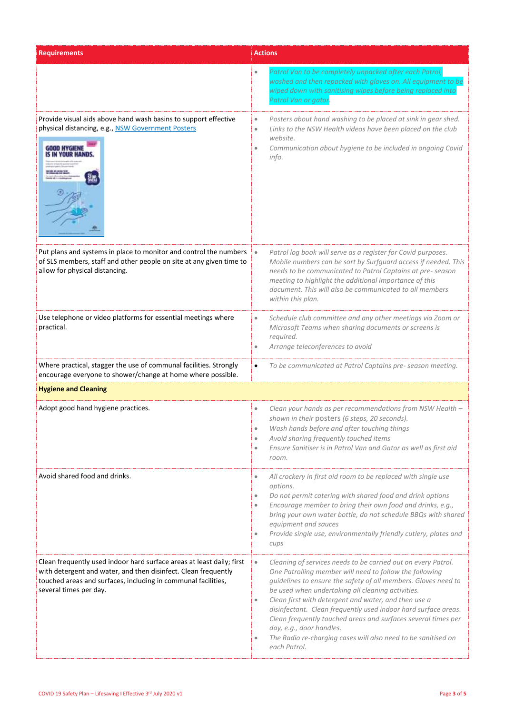| <b>Requirements</b>                                                                                                                                                                                                                | <b>Actions</b>                                                                                                                                                                                                                                                                                                                                                                                                                                                                                                                                                                                 |  |
|------------------------------------------------------------------------------------------------------------------------------------------------------------------------------------------------------------------------------------|------------------------------------------------------------------------------------------------------------------------------------------------------------------------------------------------------------------------------------------------------------------------------------------------------------------------------------------------------------------------------------------------------------------------------------------------------------------------------------------------------------------------------------------------------------------------------------------------|--|
|                                                                                                                                                                                                                                    | Patrol Van to be completely unpacked after each Patrol,<br>$\bullet$<br>washed and then repacked with gloves on. All equipment to be<br>wiped down with sanitising wipes before being replaced into<br>Patrol Van or gator.                                                                                                                                                                                                                                                                                                                                                                    |  |
| Provide visual aids above hand wash basins to support effective<br>physical distancing, e.g., NSW Government Posters<br>GOOD HYGIENE<br><b><i>YOUR HAND</i></b>                                                                    | Posters about hand washing to be placed at sink in gear shed.<br>$\bullet$<br>Links to the NSW Health videos have been placed on the club<br>$\bullet$<br>website.<br>Communication about hygiene to be included in ongoing Covid<br>$\bullet$<br>info.                                                                                                                                                                                                                                                                                                                                        |  |
| Put plans and systems in place to monitor and control the numbers<br>of SLS members, staff and other people on site at any given time to<br>allow for physical distancing.                                                         | Patrol log book will serve as a register for Covid purposes.<br>$\bullet$<br>Mobile numbers can be sort by Surfguard access if needed. This<br>needs to be communicated to Patrol Captains at pre-season<br>meeting to highlight the additional importance of this<br>document. This will also be communicated to all members<br>within this plan.                                                                                                                                                                                                                                             |  |
| Use telephone or video platforms for essential meetings where<br>practical.                                                                                                                                                        | Schedule club committee and any other meetings via Zoom or<br>$\bullet$<br>Microsoft Teams when sharing documents or screens is<br>required.<br>Arrange teleconferences to avoid<br>$\bullet$                                                                                                                                                                                                                                                                                                                                                                                                  |  |
| Where practical, stagger the use of communal facilities. Strongly<br>encourage everyone to shower/change at home where possible.                                                                                                   | To be communicated at Patrol Captains pre- season meeting.<br>$\bullet$                                                                                                                                                                                                                                                                                                                                                                                                                                                                                                                        |  |
| <b>Hygiene and Cleaning</b>                                                                                                                                                                                                        |                                                                                                                                                                                                                                                                                                                                                                                                                                                                                                                                                                                                |  |
| Adopt good hand hygiene practices.                                                                                                                                                                                                 | Clean your hands as per recommendations from NSW Health -<br>$\bullet$<br>shown in their posters (6 steps, 20 seconds).<br>Wash hands before and after touching things<br>$\bullet$<br>Avoid sharing frequently touched items<br>$\bullet$<br>Ensure Sanitiser is in Patrol Van and Gator as well as first aid<br>$\bullet$<br>room.                                                                                                                                                                                                                                                           |  |
| Avoid shared food and drinks.                                                                                                                                                                                                      | All crockery in first aid room to be replaced with single use<br>$\bullet$<br>options.<br>Do not permit catering with shared food and drink options<br>$\bullet$<br>Encourage member to bring their own food and drinks, e.g.,<br>$\bullet$<br>bring your own water bottle, do not schedule BBQs with shared<br>equipment and sauces<br>Provide single use, environmentally friendly cutlery, plates and<br>$\bullet$<br>cups                                                                                                                                                                  |  |
| Clean frequently used indoor hard surface areas at least daily; first<br>with detergent and water, and then disinfect. Clean frequently<br>touched areas and surfaces, including in communal facilities,<br>several times per day. | Cleaning of services needs to be carried out on every Patrol.<br>$\bullet$<br>One Patrolling member will need to follow the following<br>guidelines to ensure the safety of all members. Gloves need to<br>be used when undertaking all cleaning activities.<br>Clean first with detergent and water, and then use a<br>$\bullet$<br>disinfectant. Clean frequently used indoor hard surface areas.<br>Clean frequently touched areas and surfaces several times per<br>day, e.g., door handles.<br>The Radio re-charging cases will also need to be sanitised on<br>$\bullet$<br>each Patrol. |  |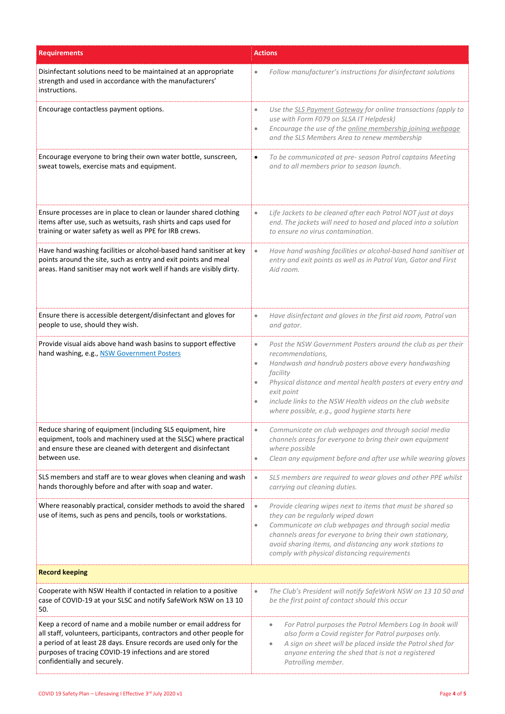| <b>Requirements</b>                                                                                                                                                                                                                                                                                     | <b>Actions</b>                                                                                                                                                                                                                                                                                                                                                                              |  |
|---------------------------------------------------------------------------------------------------------------------------------------------------------------------------------------------------------------------------------------------------------------------------------------------------------|---------------------------------------------------------------------------------------------------------------------------------------------------------------------------------------------------------------------------------------------------------------------------------------------------------------------------------------------------------------------------------------------|--|
| Disinfectant solutions need to be maintained at an appropriate<br>strength and used in accordance with the manufacturers'<br>instructions.                                                                                                                                                              | Follow manufacturer's instructions for disinfectant solutions                                                                                                                                                                                                                                                                                                                               |  |
| Encourage contactless payment options.                                                                                                                                                                                                                                                                  | Use the SLS Payment Gateway for online transactions (apply to<br>$\bullet$<br>use with Form F079 on SLSA IT Helpdesk)<br>Encourage the use of the online membership joining webpage<br>$\bullet$<br>and the SLS Members Area to renew membership                                                                                                                                            |  |
| Encourage everyone to bring their own water bottle, sunscreen,<br>sweat towels, exercise mats and equipment.                                                                                                                                                                                            | To be communicated at pre-season Patrol captains Meeting<br>$\bullet$<br>and to all members prior to season launch.                                                                                                                                                                                                                                                                         |  |
| Ensure processes are in place to clean or launder shared clothing<br>items after use, such as wetsuits, rash shirts and caps used for<br>training or water safety as well as PPE for IRB crews.                                                                                                         | Life Jackets to be cleaned after each Patrol NOT just at days<br>$\bullet$<br>end. The jackets will need to hosed and placed into a solution<br>to ensure no virus contamination.                                                                                                                                                                                                           |  |
| Have hand washing facilities or alcohol-based hand sanitiser at key<br>points around the site, such as entry and exit points and meal<br>areas. Hand sanitiser may not work well if hands are visibly dirty.                                                                                            | Have hand washing facilities or alcohol-based hand sanitiser at<br>$\bullet$<br>entry and exit points as well as in Patrol Van, Gator and First<br>Aid room.                                                                                                                                                                                                                                |  |
| Ensure there is accessible detergent/disinfectant and gloves for<br>people to use, should they wish.                                                                                                                                                                                                    | Have disinfectant and gloves in the first aid room, Patrol van<br>$\bullet$<br>and gator.                                                                                                                                                                                                                                                                                                   |  |
| Provide visual aids above hand wash basins to support effective<br>hand washing, e.g., NSW Government Posters                                                                                                                                                                                           | Post the NSW Government Posters around the club as per their<br>$\bullet$<br>recommendations,<br>Handwash and handrub posters above every handwashing<br>$\bullet$<br>facility<br>Physical distance and mental health posters at every entry and<br>exit point<br>include links to the NSW Health videos on the club website<br>$\bullet$<br>where possible, e.g., good hygiene starts here |  |
| Reduce sharing of equipment (including SLS equipment, hire<br>equipment, tools and machinery used at the SLSC) where practical<br>and ensure these are cleaned with detergent and disinfectant<br>between use.                                                                                          | Communicate on club webpages and through social media<br>$\bullet$<br>channels areas for everyone to bring their own equipment<br>where possible<br>Clean any equipment before and after use while wearing gloves<br>$\bullet$                                                                                                                                                              |  |
| SLS members and staff are to wear gloves when cleaning and wash<br>hands thoroughly before and after with soap and water.                                                                                                                                                                               | SLS members are required to wear gloves and other PPE whilst<br>$\bullet$<br>carrying out cleaning duties.                                                                                                                                                                                                                                                                                  |  |
| Where reasonably practical, consider methods to avoid the shared<br>use of items, such as pens and pencils, tools or workstations.                                                                                                                                                                      | Provide clearing wipes next to items that must be shared so<br>$\bullet$<br>they can be regularly wiped down<br>Communicate on club webpages and through social media<br>$\bullet$<br>channels areas for everyone to bring their own stationary,<br>avoid sharing items, and distancing any work stations to<br>comply with physical distancing requirements                                |  |
| <b>Record keeping</b>                                                                                                                                                                                                                                                                                   |                                                                                                                                                                                                                                                                                                                                                                                             |  |
| Cooperate with NSW Health if contacted in relation to a positive<br>case of COVID-19 at your SLSC and notify SafeWork NSW on 13 10<br>50.                                                                                                                                                               | The Club's President will notify SafeWork NSW on 13 10 50 and<br>$\bullet$<br>be the first point of contact should this occur                                                                                                                                                                                                                                                               |  |
| Keep a record of name and a mobile number or email address for<br>all staff, volunteers, participants, contractors and other people for<br>a period of at least 28 days. Ensure records are used only for the<br>purposes of tracing COVID-19 infections and are stored<br>confidentially and securely. | For Patrol purposes the Patrol Members Log In book will<br>$\qquad \qquad \bullet$<br>also form a Covid register for Patrol purposes only.<br>A sign on sheet will be placed inside the Patrol shed for<br>$\bullet$<br>anyone entering the shed that is not a registered<br>Patrolling member.                                                                                             |  |